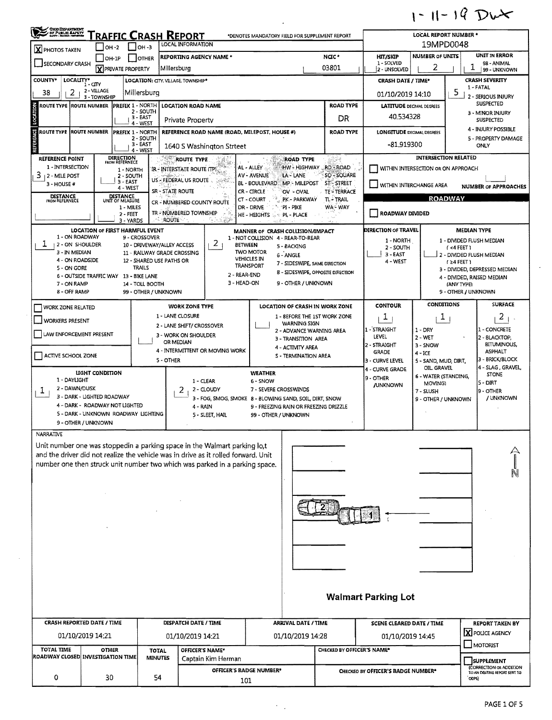## $1 - 11 - 19$  Dut

| OHO DEPARTMENT                                                                                                                                                                                                                                                     |                                                                                                                                               |                                                                                                           |                                                                           | <b>FRAFFIC CRASH REPORT</b><br><b>LOCAL INFORMATION</b>                                       |                               | *DENOTES MANDATORY FIELD FOR SUPPLEMENT REPORT                                                                                                                                        |                                                                                  |                                                                           |                                                                                | <b>LOCAL REPORT NUMBER *</b>                                                                                   |                                                                                  |                                                                                                                     |
|--------------------------------------------------------------------------------------------------------------------------------------------------------------------------------------------------------------------------------------------------------------------|-----------------------------------------------------------------------------------------------------------------------------------------------|-----------------------------------------------------------------------------------------------------------|---------------------------------------------------------------------------|-----------------------------------------------------------------------------------------------|-------------------------------|---------------------------------------------------------------------------------------------------------------------------------------------------------------------------------------|----------------------------------------------------------------------------------|---------------------------------------------------------------------------|--------------------------------------------------------------------------------|----------------------------------------------------------------------------------------------------------------|----------------------------------------------------------------------------------|---------------------------------------------------------------------------------------------------------------------|
| $\mathbf X$ PHOTOS TAKEN                                                                                                                                                                                                                                           | $ OH - 2 $                                                                                                                                    |                                                                                                           | $I$ он -з                                                                 |                                                                                               |                               |                                                                                                                                                                                       |                                                                                  |                                                                           |                                                                                | 19MPD0048                                                                                                      |                                                                                  |                                                                                                                     |
| <b>SECONDARY CRASH</b>                                                                                                                                                                                                                                             | $IOH-IP$                                                                                                                                      | <b>X PRIVATE PROPERTY</b>                                                                                 | <b>OTHER</b>                                                              | <b>REPORTING AGENCY NAME *</b><br>Millersburg                                                 |                               |                                                                                                                                                                                       |                                                                                  | NCC*<br>03801                                                             | <b>HIT/SKIP</b><br>1 - SOLVED<br>2 - UNSOLVED                                  | <b>NUMBER OF UNITS</b><br>2                                                                                    | T                                                                                | <b>UNIT IN ERROR</b><br>98 - ANIMAL<br>99 - UNKNOWN                                                                 |
| LOCALITY*<br><b>COUNTY*</b>                                                                                                                                                                                                                                        | $1 - CITY$                                                                                                                                    |                                                                                                           |                                                                           | LOCATION: CITY. VILLAGE, TOWNSHIP*                                                            |                               |                                                                                                                                                                                       |                                                                                  |                                                                           | <b>CRASH DATE / TIME*</b>                                                      |                                                                                                                |                                                                                  | <b>CRASH SEVERITY</b><br>1-FATAL                                                                                    |
| 2<br>38                                                                                                                                                                                                                                                            | 2 - VILLAGE<br>3 - TOWNSHIP                                                                                                                   |                                                                                                           | Millersburg                                                               |                                                                                               |                               |                                                                                                                                                                                       |                                                                                  |                                                                           | 01/10/2019 14:10                                                               |                                                                                                                | 5                                                                                | 2 - SERIOUS INJURY                                                                                                  |
| K<br>ROUTE TYPE ROUTE NUMBER                                                                                                                                                                                                                                       |                                                                                                                                               | <b>PREFIX 1 - NORTH</b>                                                                                   | 2 - SOUTH<br>3 - EAST                                                     | <b>LOCATION ROAD NAME</b>                                                                     |                               |                                                                                                                                                                                       |                                                                                  | <b>ROAD TYPE</b><br>DR.                                                   | <b>LATITUDE DECIMAL DEGREES</b><br>40.534328                                   |                                                                                                                |                                                                                  | <b>SUSPECTED</b><br>3 - MINOR INJURY<br><b>SUSPECTED</b>                                                            |
| q<br>ច<br>ROUTE TYPE                                                                                                                                                                                                                                               | <b>ROUTE NUMBER</b>                                                                                                                           | <b>PREFIX 1 - NORTH</b>                                                                                   | 4 WEST                                                                    | Private Property                                                                              |                               | REFERENCE ROAD NAME (ROAD, MILEPOST, HOUSE #)                                                                                                                                         |                                                                                  | <b>ROAD TYPE</b>                                                          | <b>LONGITUDE DECIMAL DEGREES</b>                                               |                                                                                                                |                                                                                  | <b>4 - INJURY POSSIBLE</b>                                                                                          |
|                                                                                                                                                                                                                                                                    |                                                                                                                                               |                                                                                                           | 2 - SOUTH<br>$3 - EAST$<br>4 - WEST                                       | 1640 S Washington Strteet                                                                     |                               |                                                                                                                                                                                       |                                                                                  |                                                                           | -81.919300                                                                     |                                                                                                                |                                                                                  | 5 - PROPERTY DAMAGE<br><b>ONLY</b>                                                                                  |
| <b>REFERENCE POINT</b><br>1 - INTERSECTION<br>з<br>  2 - MILE POST<br>3 - HOUSE #<br><b>DISTANCE</b>                                                                                                                                                               |                                                                                                                                               | <b>DIRECTION</b><br>FROM REFERNECE<br>1 - NORTH<br>2 - SOUTH<br>$3 - EAST$<br>4 - WEST<br><b>DISTANCE</b> |                                                                           | 1999<br>ROUTE TYPE<br>IR - INTERSTATE ROUTE (TP)<br>US - FEDERAL US ROUTE<br>SR - STATE ROUTE |                               | AL - ALLEY 。<br><b>AV - AVENUE</b><br><b>BL - BOULEVARD MP - MILEPOST</b><br>CR-CIRCLE                                                                                                | <b>ROAD TYPE</b><br>LA - LANE<br>OV - OVAL                                       | HW - HIGHWAY RD - ROAD<br>SO - SOUARE<br>ST - STREET<br><b>TE-TERRACE</b> |                                                                                | <b>INTERSECTION RELATED</b><br>WITHIN INTERSECTION OR ON APPROACH<br>WITHIN INTERCHANGE AREA<br><b>ROADWAY</b> |                                                                                  | <b>NUMBER OF APPROACHES</b>                                                                                         |
| <b>FROM REFERNECE</b>                                                                                                                                                                                                                                              |                                                                                                                                               | UNIT OF MEASURE<br>1 - MILES<br>2 - FEET<br>3 - YARDS                                                     |                                                                           | CR - NUMBERED COUNTY ROUTE<br>TR - NÜMBERED TOWNSHIP<br><b>ROUTE</b>                          |                               | CT-COURT<br>DR - DRIVE<br>HE - HEIGHTS                                                                                                                                                | PK - PARKWAY<br>^PI - PIKE<br><b>SAPL-PLACE</b>                                  | TL-TRAIL<br>WA-WAY                                                        | ROADWAY DIVIDED                                                                |                                                                                                                |                                                                                  |                                                                                                                     |
| 1 - ON ROADWAY<br>ı<br>12 - ON SHOULDER<br>3 - IN MEDIAN<br>4 - ON ROADSIDE<br>5 - ON GORE<br>7 ON RAMP<br>8 - OFF RAMP                                                                                                                                            | <b>LOCATION OF FIRST HARMFUL EVENT</b><br>6 - OUTSIDE TRAFFIC WAY 13 - BIKE LANE                                                              |                                                                                                           | 9 - CROSSOVER<br><b>TRAILS</b><br>14 - TOLL BOOTH<br>99 - OTHER / UNKNOWN | 10 - DRIVEWAY/ALLEY ACCESS<br>11 - RAILWAY GRADE CROSSING<br>12 - SHARED USE PATHS OR         | $\mathbf{z}$                  | MANNER OF CRASH COLLISION/IMPACT<br>1 - NOT COLLISION 4 - REAR-TO-REAR<br><b>BETWEEN</b><br><b>TWO MOTOR</b><br><b>VEHICLES IN</b><br><b>TRANSPORT</b><br>2 - REAR-END<br>3 - HEAD-ON | 5 - BACKING<br>6 - ANGLE<br>7 - SIDESWIPE, SAME DIRECTION<br>9 - OTHER / UNKNOWN | 8 - SIDESWIPE, OPPOSITE DIRECTION                                         | <b>DIRECTION OF TRAVEL</b><br>1 - NORTH<br>2 - SOUTH<br>$3 - EAST$<br>4 - WEST |                                                                                                                | <b>MEDIAN TYPE</b><br>(4FET)<br>$(24$ FEET)<br>(ANY TYPE)<br>9 - OTHER / UNKNOWN | 1 - DIVIDED FLUSH MEDIAN<br>2 - DIVIDED FLUSH MEDIAN<br>3 - DIVIDED, DEPRESSED MEDIAN<br>4 - DIVIDED, RAISED MEDIAN |
| WORK ZONE RELATED                                                                                                                                                                                                                                                  |                                                                                                                                               |                                                                                                           |                                                                           | <b>WORK ZONE TYPE</b>                                                                         |                               |                                                                                                                                                                                       |                                                                                  | LOCATION OF CRASH IN WORK ZONE                                            | <b>CONTOUR</b>                                                                 | <b>CONDITIONS</b>                                                                                              |                                                                                  | <b>SURFACE</b>                                                                                                      |
| <b>WORKERS PRESENT</b><br>LAW ENFORCEMENT PRESENT                                                                                                                                                                                                                  |                                                                                                                                               |                                                                                                           |                                                                           | 1 - LANE CLOSURE<br>2 - LANE SHIFT/ CROSSOVER<br>3 - WORK ON SHOULDER                         |                               |                                                                                                                                                                                       | WARNING SIGN<br>2 - ADVANCE WARNING AREA                                         | 1 - SEFORE THE 1ST WORK ZONE                                              | T<br>1 - STRAIGHT<br>LEVEL                                                     | $\mathbf{1}$<br>$1 - DRY$<br>2 - WET                                                                           |                                                                                  | $\overline{a}$<br>1 - CONCRETE<br>2 - BLACKTOP,                                                                     |
| ACTIVE SCHOOL ZONE                                                                                                                                                                                                                                                 |                                                                                                                                               |                                                                                                           |                                                                           | OR MEDIAN<br>4 - INTERMITTENT OR MOVING WORK<br>5 - OTHER                                     |                               |                                                                                                                                                                                       | 3 - TRANSITION AREA<br>4 - ACTIVITY AREA<br>S - TERMINATION AREA                 |                                                                           | 12 - STRAIGHT<br><b>GRADE</b><br>3 - CURVE LEVEL                               | $3 -$ SNOW<br>$4 - ICE$<br>5 - SAND, MUD, DIRT,                                                                |                                                                                  | <b>BITUMINOUS,</b><br><b>ASPHALT</b><br>3 - BRICK/BLOCK                                                             |
| 1 - DAYLIGHT<br>2 - DAWN/DUSK<br>ı                                                                                                                                                                                                                                 | LIGHT CONDITION<br>3 - DARK - LIGHTED ROADWAY<br>4 - DARK - ROADWAY NOT LIGHTED<br>5 - DARK - UNKNOWN ROADWAY LIGHTING<br>9 - OTHER / UNKNOWN |                                                                                                           |                                                                           | 1 - CLEAR<br>2<br>4 - RAIN                                                                    | 2 - CLOUDY<br>5 - SLEET, HAIL | <b>WEATHER</b><br>6 - SNOW<br>7 - SEVERE CROSSWINDS<br>3 - FOG, SMOG, SMOKE 8 - BLOWING SAND, SOIL, DIRT, SNOW<br>99 - OTHER / UNKNOWN                                                | 9 - FREEZING RAIN OR FREEZING DRIZZLE                                            |                                                                           | 4 - CURVE GRADE<br>9 - OTHER<br><b>JUNKNOWN</b>                                | OIL GRAVEL<br>6 - WATER (STANDING,<br>MOVING)<br>7 - SLUSH<br>9 - OTHER / UNKNOWN                              |                                                                                  | 4 - SLAG , GRAVEL,<br><b>STONE</b><br>ls - DIRT<br>19 - OTHER<br>/ UNKNOWN                                          |
| <b>NARRATIVE</b><br>Unit number one was stoppedin a parking space in the Walmart parking lo,t<br>and the driver did not realize the vehicle was in drive as it rolled forward. Unit<br>number one then struck unit number two which was parked in a parking space. |                                                                                                                                               |                                                                                                           |                                                                           |                                                                                               |                               |                                                                                                                                                                                       |                                                                                  |                                                                           |                                                                                |                                                                                                                |                                                                                  |                                                                                                                     |
|                                                                                                                                                                                                                                                                    |                                                                                                                                               |                                                                                                           |                                                                           |                                                                                               |                               |                                                                                                                                                                                       |                                                                                  |                                                                           |                                                                                |                                                                                                                |                                                                                  |                                                                                                                     |
|                                                                                                                                                                                                                                                                    |                                                                                                                                               |                                                                                                           |                                                                           |                                                                                               |                               |                                                                                                                                                                                       |                                                                                  |                                                                           |                                                                                |                                                                                                                |                                                                                  |                                                                                                                     |
|                                                                                                                                                                                                                                                                    |                                                                                                                                               |                                                                                                           |                                                                           |                                                                                               |                               |                                                                                                                                                                                       |                                                                                  |                                                                           | <b>Walmart Parking Lot</b>                                                     |                                                                                                                |                                                                                  |                                                                                                                     |
| <b>CRASH REPORTED DATE / TIME</b>                                                                                                                                                                                                                                  | 01/10/2019 14:21                                                                                                                              |                                                                                                           |                                                                           | DISPATCH DATE / TIME<br>01/10/2019 14:21                                                      |                               |                                                                                                                                                                                       | <b>ARRIVAL DATE / TIME</b><br>01/10/2019 14:28                                   |                                                                           | <b>SCENE CLEARED DATE / TIME</b><br>01/10/2019 14:45                           |                                                                                                                |                                                                                  | <b>REPORT TAKEN BY</b><br>X POLICE AGENCY                                                                           |
| <b>TOTAL TIME</b><br>ROADWAY CLOSED INVESTIGATION TIME                                                                                                                                                                                                             | <b>OTHER</b>                                                                                                                                  |                                                                                                           | <b>TOTAL</b><br><b>MINUTES</b>                                            | OFFICER'S NAME*                                                                               |                               |                                                                                                                                                                                       |                                                                                  | CHECKED BY OFFICER'S NAME*                                                |                                                                                |                                                                                                                |                                                                                  | $\Box$ MOTORIST                                                                                                     |
| 0                                                                                                                                                                                                                                                                  | 30                                                                                                                                            |                                                                                                           | 54                                                                        |                                                                                               | Captain Kim Herman            | OFFICER'S BADGE NUMBER*                                                                                                                                                               |                                                                                  |                                                                           | CHECKED BY OFFICER'S BADGE NUMBER*                                             |                                                                                                                | ODPS)                                                                            | <b>SUPPLEMENT</b><br>(CORRECTION OR ADDITION<br>TO AN EXISTING REPORT SENT TO                                       |
|                                                                                                                                                                                                                                                                    |                                                                                                                                               |                                                                                                           |                                                                           |                                                                                               |                               | 101                                                                                                                                                                                   |                                                                                  |                                                                           |                                                                                |                                                                                                                |                                                                                  |                                                                                                                     |

 $\sim 10^{-1}$ 

 $\sim 10^7$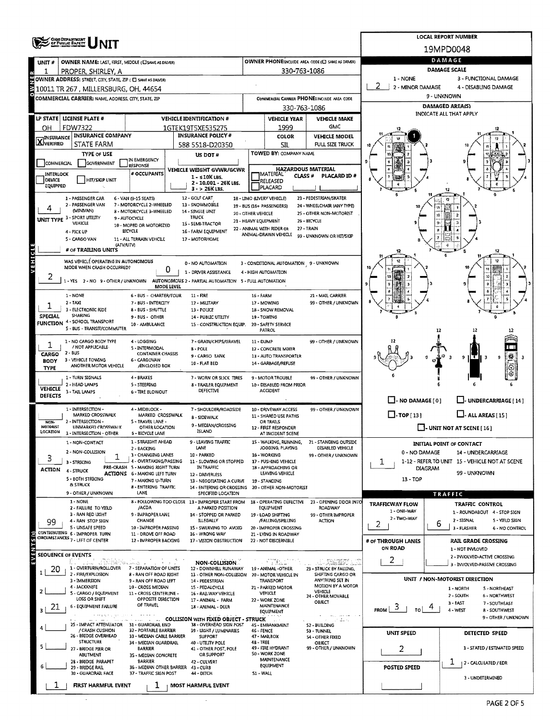|                                                    | <b>OHIO DEPARTMENT</b><br>OF FUBLIC BAFETY                       |                                                               |                                                                        |                                                            |                                                   |                                                       |                                   | <b>LOCAL REPORT NUMBER</b>                                       |
|----------------------------------------------------|------------------------------------------------------------------|---------------------------------------------------------------|------------------------------------------------------------------------|------------------------------------------------------------|---------------------------------------------------|-------------------------------------------------------|-----------------------------------|------------------------------------------------------------------|
|                                                    |                                                                  |                                                               |                                                                        |                                                            |                                                   |                                                       |                                   | 19MPD0048                                                        |
| UNIT#                                              | OWNER NAME: LAST, FIRST, MIDDLE (C) SAME AS DRIVER)              |                                                               |                                                                        |                                                            |                                                   | OWNER PHONEINCLUDE AREA CODE (C) SAME AS DRIVER)      |                                   | DAMAGE                                                           |
|                                                    | PROPER, SHIRLEY, A                                               |                                                               |                                                                        |                                                            | 330-763-1086                                      |                                                       |                                   | DAMAGE SCALE                                                     |
| e<br>Z                                             | OWNER ADDRESS: STREET, CITY, STATE, ZIP ( C) SAME AS DRIVER)     |                                                               |                                                                        |                                                            |                                                   |                                                       | 1 - NONE<br>2<br>2 - MINOR DAMAGE | 3 - FUNCTIONAL DAMAGE<br>4 - DISABLING DAMAGE                    |
| Z<br>۰                                             | 10011 TR 267 , MILLERSBURG, OH, 44654                            |                                                               |                                                                        |                                                            |                                                   | COMMERCIAL CARRIER PHONE: INCLUDE AREA CODE           |                                   | 9 - UNKNOWN                                                      |
|                                                    | COMMERCIAL CARRIER: NAME, ADDRESS, CITY, STATE, ZIP              |                                                               |                                                                        |                                                            |                                                   |                                                       |                                   | <b>DAMAGED AREA(S)</b>                                           |
|                                                    | <b>LP STATE LICENSE PLATE #</b>                                  |                                                               | <b>VEHICLE IDENTIFICATION #</b>                                        | 330-763-1086<br><b>VEHICLE YEAR</b><br><b>VEHICLE MAKE</b> |                                                   |                                                       |                                   | <b>INDICATE ALL THAT APPLY</b>                                   |
| ΟН                                                 | <b>FDW7322</b>                                                   |                                                               | 1GTEK19T5XE535275                                                      |                                                            | 1999                                              | GMC                                                   |                                   |                                                                  |
| <b>INSURANCE</b>                                   | <b>INSURANCE COMPANY</b>                                         |                                                               | <b>INSURANCE POLICY#</b>                                               |                                                            | COLOR                                             | <b>VEHICLE MODEL</b>                                  |                                   |                                                                  |
| <b>X</b> VERIFIED                                  | <b>STATE FARM</b>                                                |                                                               | 588 5518-D20350                                                        |                                                            | SIL                                               | <b>FULL SIZE TRUCK</b>                                |                                   |                                                                  |
|                                                    | <b>TYPE OF USE</b>                                               | IN EMERGENCY                                                  | US DOT #                                                               |                                                            | TOWED BY: COMPANY NAME                            |                                                       |                                   |                                                                  |
| COMMERCIAL                                         | GOVERNMENT                                                       | RESPONSE                                                      | VEHICLE WEIGHT GVWR/GCWR                                               |                                                            | <b>HAZARDOUS MATERIAL</b>                         |                                                       |                                   |                                                                  |
| INTERLOCK<br>DEVICE                                | HIT/SKIP UNIT                                                    | # OCCUPANTS                                                   | $1 - 10K$ LBS.<br>2 - 10.001 - 26K LBS.                                |                                                            | IMATERIAL<br><b>CLASS#</b><br>RELEASED            | <b>PLACARD ID #</b>                                   |                                   |                                                                  |
| <b>EQUIPPED</b>                                    |                                                                  |                                                               | $3 - 26K$ LBS.                                                         |                                                            | PLACARD                                           |                                                       |                                   |                                                                  |
|                                                    | 1 - PASSENGER CAR<br>2 - PASSENGER VAN                           | 6 - VAN (9-15 SEATS)<br>7 - MOTORCYCLE 2-WHEELED              | 12 - GOLF CART<br>13 - SNOWMOBILE                                      |                                                            | 18 - LIMO (LIVERY VEHICLE)                        | 23 - PEDESTRIAN/SKATER                                |                                   |                                                                  |
|                                                    | (MINIVAN)                                                        | 8 - MOTORCYCLE 3-WHEELED                                      | 14 - SINGLE UNIT                                                       | 20 - OTHER VEHICLE                                         | 19 - BUS (16+ PASSENGERS)                         | 24 - WHEELCHAIR (ANY TYPE)<br>25 - OTHER NON-MOTORIST |                                   | 10                                                               |
|                                                    | UNIT TYPE 3 - SPORT UTILITY<br>VEHICLE                           | 9 - AUTOCYCLE<br>10 - MOPED OR MOTORIZED                      | TRUCK<br>15 - SEMI-TRACTOR                                             | 21 - HEAVY EQUIPMENT                                       |                                                   | 26 BICYCLE                                            |                                   |                                                                  |
|                                                    | 4 - PICK UP                                                      | <b>BICYCLE</b>                                                | 16 - FARM EQUIPMENT                                                    |                                                            | 22 - ANIMAL WITH RIDER OR<br>ANIMAL-DRAWN VEHICLE | 27 - TRAIN<br>99 - UNKNOWN OR HIT/SKIP                |                                   |                                                                  |
|                                                    | 5 - CARGO VAN<br>(ATV/UTV)                                       | 11 - ALL TERRAIN VEHCILE                                      | 17 - MOTORHOME                                                         |                                                            |                                                   |                                                       |                                   |                                                                  |
|                                                    | # OF TRAILING UNITS                                              |                                                               |                                                                        |                                                            |                                                   |                                                       |                                   | 12                                                               |
| VEHICLE                                            | WAS VEHICLE OPERATING IN AUTONOMOUS<br>MODE WHEN CRASH OCCURRED? |                                                               | 0 - NO AUTOMATION                                                      |                                                            | 3 - CONDITIONAL AUTOMATION 9 - UNKNOWN            |                                                       |                                   |                                                                  |
| L                                                  |                                                                  | 0                                                             | 1 - DRIVER ASSISTANCE                                                  |                                                            | 4 - HIGH AUTOMATION                               |                                                       |                                   |                                                                  |
|                                                    | 1-YES 2-NO 9-OTHER/UNKNOWN                                       | MODE LEVEL                                                    | AUTONOMOUS 2 - PARTIAL AUTOMATION 5 - FULL AUTOMATION                  |                                                            |                                                   |                                                       |                                   |                                                                  |
|                                                    | 1 - NONE                                                         | 6 - BUS - CHARTER/TOUR                                        | 11 - FIRE                                                              | 16 - FARM                                                  |                                                   | 21 - MAIL CARRIER                                     |                                   |                                                                  |
|                                                    | $2 - TAXI$<br>3 - ELECTRONIC RIDE                                | 7 - BUS - INTERCITY<br>8 - BUS - SHUTTLE                      | 12 - MILITARY<br>13 - POLICE                                           |                                                            | 17 - MOWING<br>18 - SNOW REMOVAL                  | 99 - OTHER / UNKNOWN                                  |                                   |                                                                  |
| SPECIAL                                            | SHARING<br>4 - SCHOOL TRANSPORT                                  | 9 - BUS - OTHER                                               | 14 - PUBLIC UTILITY                                                    |                                                            | 19 - TOWING                                       |                                                       |                                   |                                                                  |
| <b>FUNCTION</b>                                    | 5 - BUS - TRANSIT/COMMUTER                                       | 10 - AMBULANCE                                                | 15 - CONSTRUCTION EQUIP.                                               |                                                            | 20 - SAFETY SERVICE<br>PATROL                     |                                                       |                                   |                                                                  |
|                                                    | 1 - NO CARGO BODY TYPE                                           | 4 - LOGGING                                                   | 7 - GRAIN/CHIPS/GRAVEL                                                 | 11 - DUMP                                                  |                                                   | 99 - OTHER / UNKNOWN                                  |                                   |                                                                  |
|                                                    | / NOT APPLICABLE<br>2 - BUS                                      | 5 - INTERMODAL<br>CONTAINER CHASSIS                           | 8 - POLE                                                               |                                                            | 12 - CONCRETE MIXER                               |                                                       |                                   |                                                                  |
| CARGO<br><b>BODY</b>                               | 3 - VEHICLE TOWING                                               | 6 - CARGOVAN                                                  | 9 - CARGO TANK<br>10 - FLAT BED                                        |                                                            | 13 - AUTO TRANSPORTER<br>14 - GARBAGE/REFUSE      |                                                       |                                   | 9 I T II<br>-3<br>9                                              |
| <b>TYPE</b>                                        | ANOTHER MOTOR VEHICLE                                            | /ENCLOSED BOX                                                 |                                                                        |                                                            |                                                   |                                                       |                                   | ⊙                                                                |
|                                                    | 1 - TURN SIGNALS<br>2 - HEAD LAMPS                               | 4 - BRAKES<br>5 - STEERING                                    | 7 - WORN OR SLICK TIRES<br>8 - TRAILER EQUIPMENT                       |                                                            | 9 - MOTOR TROUBLE<br>10 - DISABLED FROM PRIOR     | 99 - OTHER / UNKNOWN                                  |                                   |                                                                  |
| <b>VEHICLE</b><br>DEFECTS                          | 3 - TAIL LAMPS                                                   | 6 - TIRE BLOWOUT                                              | DEFECTIVE                                                              |                                                            | ACCIDENT                                          |                                                       |                                   |                                                                  |
|                                                    |                                                                  |                                                               |                                                                        |                                                            |                                                   |                                                       | $\Box$ - NO DAMAGE [0]            | U- UNDERCARRIAGE [14]                                            |
|                                                    | 1 - INTERSECTION -<br><b>MARKED CROSSWALK</b>                    | 4 - MIDBLOCK -<br>MARKED CROSSWALK                            | 7 - SHOULDER/ROADSIDE<br>8 - SIDEWALK                                  |                                                            | 10 - DRIVEWAY ACCESS<br>11 - SHARED USE PATHS     | 99 - OTHER / UNKNOWN                                  | $\Box$ -TOP[13]                   | $\Box$ - ALL AREAS [15]                                          |
| NON-<br>MOTORIST                                   | 2 - INTERSECTION -<br>UNMARKED CROSSWALK                         | S - TRAVEL LANE -<br>OTHER LOCATION                           | 9 - MEDIAN/CROSSING                                                    |                                                            | <b>OR TRAILS</b><br>12 - FIRST RESPONDER          |                                                       |                                   | $\Box$ - UNIT NOT AT SCENE [16]                                  |
| LOCATION                                           | 3 - INTERSECTION - OTHER                                         | 6 - BICYCLE LANE                                              | <b>ISLAND</b>                                                          |                                                            | AT INCIDENT SCENE                                 |                                                       |                                   |                                                                  |
|                                                    | 1 - NON-CONTACT                                                  | 1 - STRAIGHT AHEAD<br>2 - BACKING                             | 9 - LEAVING TRAFFIC<br>LANE                                            |                                                            | 15 - WALKING, RUNNING,<br>JOGGING, PLAYING        | 21 - STANDING OUTSIDE<br>DISABLED VEHICLE             |                                   | INITIAL POINT OF CONTACT                                         |
| 3                                                  | 2 - NON-COLLISION<br>ı                                           | 3 - CHANGING LANES<br>4 - OVERTAKING/PASSING                  | 10 - PARKED                                                            |                                                            | 16 - WORKING                                      | 99 - OTHER / UNKNOWN                                  | 0 - NO DAMAGE                     | 14 - UNDERCARRIAGE                                               |
| <b>ACTION</b>                                      | 3 - STRIKING<br>4 - STRUCK                                       | PRE-CRASH 5 - MAKING RIGHT TURN                               | 11 - SLOWING OR STOPPED<br>IN TRAFFIC                                  |                                                            | 17 - PUSHING VEHICLE<br>18 - APPROACHING OR       |                                                       | ı                                 | 1-12 - REFER TO UNIT 15 - VEHICLE NOT AT SCENE<br><b>DIAGRAM</b> |
|                                                    | 5 - BOTH STRIKING                                                | <b>ACTIONS 6 - MAKING LEFT TURN</b><br>7 - MAKING U-TURN      | 12 - DRIVERLESS<br>13 - NEGOTIATING A CURVE                            |                                                            | LEAVING VEHICLE<br>19 - STANDING                  |                                                       | 13 - TOP                          | 99 - UNKNOWN                                                     |
|                                                    | & STRUCK                                                         | 8 - ENTERING TRAFFIC<br>LANE                                  | 14 - ENTERING OR CROSSING 20 - OTHER NON-MOTORIST                      |                                                            |                                                   |                                                       |                                   |                                                                  |
|                                                    | 9 - OTHER / UNKNOWN<br>1 - NONE                                  |                                                               | SPECIFIED LOCATION<br>8 - FOLLOWING TOO CLOSE 13 - IMPROPER START FROM |                                                            | 18 - OPERATING DEFECTIVE                          | 23 - OPENING DDOR INTO                                | <b>TRAFFICWAY FLOW</b>            | TRAFFIC                                                          |
|                                                    | 2 - FAILURE TO YIELD<br>3 - RAN RED LIGHT                        | /ACDA<br>9 - IMPROPER LANE                                    | A PARKED POSITION<br>14 - STOPPED OR PARKED                            |                                                            | <b>EQUIPMENT</b><br>19 - LOAD SHIFTING            | ROADWAY<br>99 - OTHER IMPROPER                        | 1 - ONE-WAY                       | <b>TRAFFIC CONTROL</b><br>1 - ROUNDABOUT 4 - STOP SIGN           |
| 99                                                 | 4 - RAN STOP SIGN                                                | CHANGE                                                        | <b>ILLEGALLY</b>                                                       |                                                            | /FALLING/SPILLING                                 | <b>ACTION</b>                                         | 2 - TWO-WAY<br>2                  | 2 - SIGNAL<br>5 - YIELD SIGN<br>6                                |
|                                                    | <b>S - UNSAFE SPEED</b><br>CONTRIBUTING 6 - IMPROPER TURN        | 10 - IMPROPER PASSING<br>11 - DROVE OFF ROAD                  | 15 - SWERVING TO AVOID<br>16 - WRONG WAY                               |                                                            | 20 - IMPROPER CROSSING<br>21 - LYING IN ROADWAY   |                                                       |                                   | 3 - FLASHER<br>6 - NO CONTROL                                    |
|                                                    | CIRCUMSTANCES 7 LEFT OF CENTER                                   | 12 - IMPROPER BACKING                                         | 17 - VISION OBSTRUCTION                                                |                                                            | 22 - NOT DISCERNIBLE                              |                                                       | # OF THROUGH LANES                | RAIL GRADE CROSSING                                              |
| EVENTS <sub>(S)</sub><br><b>SEOUENCE OF EVENTS</b> |                                                                  |                                                               |                                                                        |                                                            |                                                   |                                                       | ON ROAD                           | 1 - NOT INVLOVED<br>2 - INVOLVED-ACTIVE CROSSING                 |
|                                                    | Sidakatun .<br>1 - OVERTURN/ROLLOVER                             | <b>All And</b><br>7 - SEPARATION OF UNITS                     | NON-COLLISION<br>12 - DOWNHILL RUNAWAY                                 |                                                            | . FINALIT<br>19 - ANIMAL -OTHER                   | 11.3960073.12<br>23 - STRUCK BY FALLING,              | 2                                 | 3 - INVOLVED-PASSIVE CROSSING                                    |
| 20                                                 | 2 - FIRE/EXPLOSION                                               | 8 - RAN OFF ROAD RIGHT                                        | 13 - OTHER NON-COLLISION                                               |                                                            | 20 - MOTOR VEHICLE IN                             | SHIFTING CARGO OR                                     |                                   | UNIT / NON-MOTORIST DIRECTION                                    |
|                                                    | 3 - IMMERSION<br>4 - JACKKNIFE                                   | 9 - RAN OFF ROAD LEFT<br>10 - CROSS MEDIAN                    | 14 - PEDESTRIAN<br>15 - PEDALCYCLE                                     |                                                            | <b>TRANSPORT</b><br>21 - PARKED MOTOR             | ANYTHING SET IN<br>MOTION BY A MOTOR                  |                                   | 1 - NORTH<br>5 - NORTHEAST                                       |
|                                                    | 5 - CARGO / EQUIPMENT<br>LOSS OR SHIFT                           | 11 - CROSS CENTERLINE -<br>OPPOSITE DIRECTION                 | 16 - RAILWAY VEHICLE<br>17 - ANIMAL - FARM                             |                                                            | VEHICLE<br>22 - WORK ZONE                         | <b>VEHICLE</b><br>24 - OTHER MOVABLE                  |                                   | 2 - SOUTH<br><b>6 - NORTHWEST</b>                                |
| 21<br>3 I                                          | 6 - EQUIPMENT FAILURE                                            | OF TRAVEL                                                     | 18 - ANIMAL - DEER                                                     |                                                            | MAINTENANCE                                       | OBJECT                                                | $\mathbf{5}$  <br>Tol<br>FROM     | $3 - EAST$<br>7-SOUTHEAST<br>4 - WEST<br>8 - SOUTHWEST           |
|                                                    | non protestant                                                   | und the                                                       | <b>Exercise COLLISION WITH FIXED OBJECT - STRUCK</b>                   |                                                            | <b>EQUIPMENT</b>                                  | steps and construction<br>oznata sa                   |                                   | 9 - OTHER / UNKNOWN                                              |
|                                                    | 25 - IMPACT ATTENUATOR 31 - GUARDRAIL END<br>/ CRASH CUSHION     | 32 - PORTABLE BARRIER                                         | 38 - OVERHEAD SIGN POST<br>39 - LIGHT / LUMINARIES                     | 46 - FENCE                                                 | 45 - EMBANKMENT                                   | 52 - BUILDING<br>53 - TUNNEL                          |                                   |                                                                  |
|                                                    | 26 - BRIDGE OVERHEAD<br><b>STRUCTURE</b>                         | 33 - MEDIAN CABLE BARRIER<br>34 - MEDIAN GUARDRAIL            | <b>SUPPORT</b><br>40 - UTILITY POLE                                    | <b>48 - TREE</b>                                           | 47 - MAILBOX                                      | 54 - OTHER FIXED<br>OBJECT                            | <b>UNIT SPEED</b>                 | DETECTED SPEED                                                   |
| 5                                                  | 27 - BRIDGE PIER OR                                              | <b>BARRIER</b>                                                | 41 - OTHER POST, POLE                                                  |                                                            | 49 - FIRE HYDRANT<br>50 - WORK ZONE               | 99 - OTHER / UNKNOWN                                  | 2                                 | 1 - STATED / ESTIMATED SPEED                                     |
|                                                    | ABUTMENT<br>28 - BRIDGE PARAPET                                  | 35 - MEDIAN CONCRETE<br><b>BARRIER</b>                        | OR SUPPORT<br>42 - CULVERT                                             |                                                            | <b>MAINTENANCE</b>                                |                                                       |                                   | ı<br>  2 - CALCULATED / EDR                                      |
|                                                    | 29 - BRIDGE RAIL<br>30 - GUARDRAIL FACE                          | 36 - MEDIAN OTHER BARRIER 43 - CURB<br>37 - TRAFFIC SIGN POST | 44 - DITCH                                                             | S1 - WALL                                                  | EQUIPMENT                                         |                                                       | POSTED SPEED                      |                                                                  |
|                                                    | FIRST HARMFUL EVENT                                              |                                                               | <b>MOST HARMFUL EVENT</b>                                              |                                                            |                                                   |                                                       |                                   | 3 - UNDETERMINED                                                 |
|                                                    |                                                                  | T                                                             |                                                                        |                                                            |                                                   |                                                       |                                   |                                                                  |

 $\overline{\phantom{a}}$ 

J.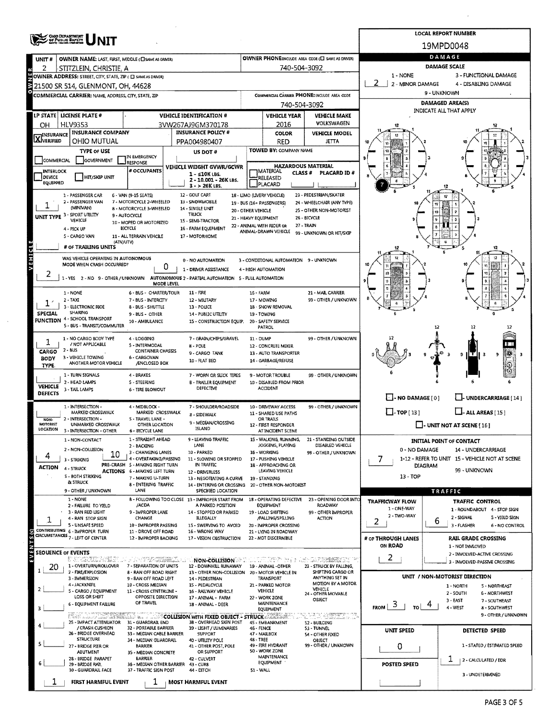|                            | OHIO DEPARTMENT<br>OF PUBLIC BANETY<br>North Albert Personne |                                                           |                                                                       |                      |                                                   |                                                                    |                                       | <b>LOCAL REPORT NUMBER</b>                                       |
|----------------------------|--------------------------------------------------------------|-----------------------------------------------------------|-----------------------------------------------------------------------|----------------------|---------------------------------------------------|--------------------------------------------------------------------|---------------------------------------|------------------------------------------------------------------|
|                            |                                                              |                                                           |                                                                       |                      |                                                   |                                                                    |                                       | 19MPD0048                                                        |
| UNIT#                      | OWNER NAME: LAST, FIRST, MIDDLE (CI SAME AS ORIVER)          |                                                           |                                                                       |                      |                                                   | OWNER PHONE:INCLUDE AREA CODE (E) SAME AS DRIVER)                  |                                       | DAMAGE                                                           |
| 2                          | ·STITZLEIN, CHRISTIE, A                                      |                                                           |                                                                       |                      | 740-504-3092                                      |                                                                    |                                       | <b>DAMAGE SCALE</b>                                              |
|                            | OWNER ADDRESS: STREET, CITY, STATE, ZIP ( C SAME AS DRIVER)  |                                                           |                                                                       |                      |                                                   |                                                                    | 1 - NONE<br>2<br>2 - MINOR DAMAGE     | 3 - FUNCTIONAL DAMAGE<br>4 - DISABLING DAMAGE                    |
|                            | 21500 SR 514, GLENMONT, OH, 44628                            |                                                           |                                                                       |                      |                                                   |                                                                    |                                       | 9 - UNKNOWN                                                      |
|                            | COMMERCIAL CARRIER: NAME, ADDRESS, CITY, STATE, ZIP          |                                                           |                                                                       |                      | 740-504-3092                                      | COMMERCIAL CARRIER PHONE: INCLUDE AREA CODE                        |                                       | <b>DAMAGED AREA(S)</b>                                           |
|                            | LP STATE   LICENSE PLATE #                                   |                                                           | <b>VEHICLE IDENTIFICATION #</b>                                       |                      | <b>VEHICLE YEAR</b>                               | <b>VEHICLE MAKE</b>                                                |                                       | INDICATE ALL THAT APPLY                                          |
| OН                         | <b>HLV9353</b>                                               |                                                           | 3VW267AJ9GM370178                                                     |                      | 2016                                              | <b>VOLKSWAGEN</b>                                                  |                                       |                                                                  |
|                            | <b>INSURANCE COMPANY</b>                                     |                                                           | <b>INSURANCE POLICY #</b>                                             |                      | COLOR                                             | <b>VEHICLE MODEL</b>                                               |                                       |                                                                  |
| <b>X</b> INSURANCE         | OHIO MUTUAL                                                  |                                                           | PPA004980407                                                          |                      | RED                                               | <b>JETTA</b>                                                       |                                       |                                                                  |
|                            | <b>TYPE OF USE</b>                                           | IN EMERGENCY                                              | <b>US DOT #</b>                                                       |                      | TOWED BY: COMPANY NAME                            |                                                                    |                                       |                                                                  |
| COMMERCIAL                 | GOVERNMENT                                                   | <b>RESPONSE</b>                                           | VEHICLE WEIGHT GVWR/GCWR                                              |                      | <b>HAZARDOUS MATERIAL</b>                         |                                                                    |                                       |                                                                  |
| <b>INTERLOCK</b><br>DEVICE | <b>HIT/SKIP UNIT</b>                                         | # OCCUPANTS                                               | $1 - 510K$ LBS.                                                       |                      | MATERIAL<br>CLASS #<br>RELEASED                   | PLACARD ID#                                                        |                                       |                                                                  |
| EQUIPPED                   |                                                              |                                                           | 2 - 10.001 - 26K LBS.<br>$3 - 26K$ LBS.                               |                      | PLACARD                                           |                                                                    |                                       |                                                                  |
|                            | 1 - PASSENGER CAR                                            | 6 - VAN (9-15 SEATS)                                      | 12 - GOLF CART                                                        |                      | 18 - LIMO (LIVERY VEHICLE)                        | 23 - PEDESTRIAN/SKATER                                             |                                       | 12                                                               |
|                            | 2 - PASSENGER VAN<br>(MINIVAN)                               | 7 - MOTORCYCLE 2-WHEELED<br>8 - MOTORCYCLE 3-WHEELED      | 13 - SNOWMOBILE<br>14 - SINGLE UNIT                                   | 20 - OTHER VEHICLE   | 19 - BUS (16+ PASSENGERS)                         | 24 - WHEELCHAIR (ANY TYPE)<br>25 - OTHER NON-MOTORIST              |                                       |                                                                  |
|                            | UNIT TYPE 3 - SPORT UTILITY<br>VEHICLE                       | 9 - AUTOCYCLE                                             | <b>TRUCK</b><br>15 - SEMI-TRACTOR                                     | 21 - HEAVY EQUIPMENT |                                                   | 26 - BICYCLE                                                       |                                       |                                                                  |
|                            | 4 - PICK UP                                                  | 10 - MOPED OR MOTORIZED<br>BICYCLE                        | 16 - FARM EQUIPMENT                                                   |                      | 22 - ANIMAL WITH RIDER OR<br>ANIMAL-DRAWN VEHICLE | 27 - TRAIN                                                         |                                       |                                                                  |
|                            | 5 - CARGO VAN<br>(ATV/UTV)                                   | 11 - ALL TERRAIN VEHCILE                                  | 17 - MOTORHOME                                                        |                      |                                                   | 99 - UNKNOWN OR HIT/SKIP                                           |                                       | G                                                                |
|                            | # OF TRAILING UNITS                                          |                                                           |                                                                       |                      |                                                   |                                                                    | 12                                    | 12<br>11                                                         |
| VEHICLE                    | WAS VEHICLE OPERATING IN AUTONOMOUS                          |                                                           | 0 - NO AUTOMATION                                                     |                      | 3 - CONDITIONAL AUTOMATION 9 - UNKNOWN            |                                                                    |                                       |                                                                  |
|                            | MODE WHEN CRASH OCCURRED?                                    | 0                                                         | 1 - DRIVER ASSISTANCE                                                 |                      | 4 - HIGH AUTOMATION                               |                                                                    |                                       |                                                                  |
|                            | 1-YES 2-NO 9-OTHER/UNKNOWN                                   | MODE LEVEL                                                | AUTONOMOUS 2 - PARTIAL AUTOMATION 5 - PULL AUTOMATION                 |                      |                                                   |                                                                    |                                       |                                                                  |
|                            | 1 - NONE                                                     | 6 - BUS - CHARTER/TOUR                                    | 11 - FIRE                                                             | 16 - FARM            |                                                   | 21 - MAIL CARRIER                                                  |                                       |                                                                  |
|                            | $2 - TAXI$<br>3 - ELECTRONIC RIOE                            | 7 - BUS - INTERCITY                                       | 12 - MIUTARY                                                          |                      | 17 - MOWING                                       | 99 - OTHER / UNKNOWN                                               |                                       |                                                                  |
| SPECIAL                    | SHARING                                                      | 8 - BUS - SHUTTLE<br>9 - BUS - OTHER                      | 13 - POLICE<br><b>14 - PUBLIC UTILITY</b>                             | 19 - TOWING          | 18 - SNOW REMOVAL                                 |                                                                    |                                       |                                                                  |
|                            | FUNCTION 4 - SCHOOL TRANSPORT<br>5 - BUS - TRANSIT/COMMUTER  | 10 - AMBULANCE                                            | 15 - CONSTRUCTION EQUIP.                                              |                      | 20 - SAFETY SERVICE<br>PATROL                     |                                                                    |                                       | 12                                                               |
|                            |                                                              |                                                           |                                                                       |                      |                                                   |                                                                    |                                       |                                                                  |
| 1                          | 1 - NO CARGO BODY TYPE<br>/ NOT APPLICABLE                   | 4 - LOGGING<br>5 - INTERMODAL                             | 7 - GRAIN/CHIPS/GRAVEL<br>$8 - POLE$                                  | 11 - DUMP            | 12 - CONCRETE MIXER                               | 99 - OTHER / UNKNOWN                                               |                                       |                                                                  |
| CARGO<br><b>BODY</b>       | $2 - BUS$<br>3 - VEHICLE TOWING                              | CONTAINER CHASSIS<br>6 - CARGOVAN                         | 9 - CARGO TANK                                                        |                      | 13 - AUTO TRANSPORTER                             |                                                                    |                                       | e<br>陽<br>$9 \Gamma$<br>9<br>-3.<br>- 3                          |
| TYPE.                      | ANOTHER MOTOR VEHICLE                                        | /ENCLOSED BOX                                             | 10 - FLAT BED                                                         |                      | 14 - GARBAGE/REFUSE                               |                                                                    |                                       |                                                                  |
|                            | 1 - TURN SIGNALS                                             | 4 - BRAKES                                                | 7 - WORN OR SLICK TIRES                                               |                      | 9 - MOTOR TROUBLE                                 | 99 - OTHER / UNKNOWN                                               |                                       |                                                                  |
| <b>VEHICLE</b>             | 2 - HEAD LAMPS<br>3 - TAIL LAMPS                             | 5 - STEERING<br><b>6 - TIRE BLOWOUT</b>                   | <b>B - TRAILER EQUIPMENT</b><br>DEFECTIVE                             |                      | 10 - DISABLED FROM PRIOR<br>ACCIDENT              |                                                                    |                                       |                                                                  |
| <b>DEFECTS</b>             |                                                              |                                                           |                                                                       |                      |                                                   |                                                                    | $\Box$ - NO DAMAGE [0]                | - UNDERCARRIAGE [14]                                             |
|                            | 1 - INTERSECTION -<br>MARKED CROSSWALK                       | 4 - MIDBLOCK -<br>MARKED CROSSWALK                        | 7 - SHOULDER/ROADSIDE                                                 |                      | 10 - DRIVEWAY ACCESS<br>11 - SHARED USE PATHS     | 99 - OTHER / UNKNOWN                                               | $\Box$ -TOP[13]                       | $L$ -ALL AREAS [15]                                              |
| NON-<br>MOTORIST           | 2 - INTERSECTION -<br>UNMARKED CROSSWALK                     | S - TRAVEL LANE -                                         | 8 - SIDEWALK<br>9 - MEDIAN/CROSSING                                   |                      | OR TRAILS                                         |                                                                    |                                       |                                                                  |
| LOCATION                   | 3 - INTERSECTION - OTHER                                     | OTHER LOCATION<br>6 - BICYCLE LANE                        | ISLAND                                                                |                      | 12 - FIRST RESPONDER<br>AT INCIDENT SCENE         |                                                                    |                                       | - UNIT NOT AT SCENE [16]                                         |
|                            | 1 - NON-CONTACT                                              | 1 - STRAIGHT AHEAD<br>2 - BACKING                         | 9 - LEAVING TRAFFIC<br>LANE                                           |                      | 15 - WALKING, RUNNING,<br>JOGGING, PLAYING        | 21 - STANDING OUTSIDE<br>DISABLED VEHICLE                          |                                       | <b>INITIAL POINT OF CONTACT</b>                                  |
| 4                          | 2 - NON-COLLISION<br>10                                      | 3 - CHANGING LANES                                        | 10 - PARKED                                                           |                      | 16 - WORKING                                      | 99 - OTHER / UNKNOWN                                               | 0 - NO DAMAGE                         | 14 - UNDERCARRIAGE                                               |
|                            | 3 - STRIKING                                                 | 4 - OVERTAKING/PASSING<br>PRE-CRASH 5 - MAKING RIGHT TURN | 11 - SLOWING OR STOPPED<br>IN TRAFFIC                                 |                      | 17 - PUSHING VEHICLE<br>18 - APPROACHING OR       |                                                                    | 7                                     | 1-12 - REFER TO UNIT 15 - VEHICLE NOT AT SCENE<br><b>DIAGRAM</b> |
| <b>ACTION</b>              | 4 - STRUCK<br>S - BOTH STRIKING                              | <b>ACTIONS 6 - MAKING LEFT TURN</b>                       | 12 - DRIVERLESS                                                       |                      | LEAVING VEHICLE                                   |                                                                    | $13 - TOP$                            | 99 - UNKNOWN                                                     |
|                            | <b>&amp; STRUCK</b>                                          | 7 - MAKING U-TURN<br>8 - ENTERING TRAFFIC                 | 13 - NEGOTIATING A CURVE<br>14 - ENTERING OR CROSSING                 |                      | 19 - STANDING<br>20 - OTHER NON-MOTORIST          |                                                                    |                                       |                                                                  |
|                            | 9 - OTHER / UNKNOWN                                          | LANE                                                      | SPECIFIED LOCATION                                                    |                      |                                                   |                                                                    |                                       | TRAFFIC                                                          |
|                            | 1 - NONE<br>2 - FAILURE TO YIELD                             | /ACDA                                                     | B - FOLLOWING TOO CLOSE 13 - IMPROPER START FROM<br>A PARKED POSITION |                      | 18 - OPERATING DEFECTIVE<br>EQUIPMENT             | 23 - OPENING DOOR INTO<br>ROADWAY                                  | <b>TRAFFICWAY FLOW</b><br>1 - ONE-WAY | TRAFFIC CONTROL<br>1 - ROUNDABOUT 4 - STOP SIGN                  |
| 1                          | 3 - RAN RED LIGHT<br>4 - RAN STOP SIGN                       | 9 - IMPROPER LANE<br>CHANGE                               | 14 - STOPPED OR PARKED<br><b>ILLEGALLY</b>                            |                      | 19 - LOAD SHIFTING<br>/FALLING/SPILLING           | 99 - OTHER IMPROPER<br><b>ACTION</b>                               | 2 - TWO-WAY                           | 2 - SIGNAL<br>5 - YIELD SIGN                                     |
|                            | 5 - UNSAFE SPEED<br>CONTRIBUTING 6 - IMPROPER TURN           | 10 - IMPROPER PASSING                                     | 15 - SWERVING TO AVOID                                                |                      | 20 - IMPROPER CROSSING                            |                                                                    | 2                                     | ь<br>3 - FLASHER<br>6 - NO CONTROL                               |
| EVENTS (S)                 | GROUMSTANCES 7 - LEFT OF CENTER                              | 11 - DROVE OFF ROAD<br>12 - IMPROPER BACKING              | 16 - WRONG WAY<br>17 - VISION OBSTRUCTION                             |                      | 21 - LYING IN ROADWAY<br>22 - NOT DISCERNIBLE     |                                                                    | # of THROUGH LANES                    | <b>RAIL GRADE CROSSING</b>                                       |
|                            |                                                              |                                                           |                                                                       |                      |                                                   |                                                                    | ON ROAD                               | 1 - NOT INVLOVED                                                 |
| <b>SEOUENCE OF EVENTS</b>  | E STERNET LETT                                               |                                                           | <b>NON-COLLISION</b>                                                  |                      |                                                   | SATISTIC TO THE ASSESSED TO THE TRANSPORT TO THE SATISFIED ONLY TO | 2                                     | 2 - INVOLVED-ACTIVE CROSSING<br>3 - INVOLVED-PASSIVE CROSSING    |
| 20                         | 1 - OVERTURN/ROLLOVER<br>2 - FIRE/EXPLOSION                  | 7 - SEPARATION OF UNITS<br>8 - RAN OFF ROAD RIGHT         | 12 - DOWNHILL RUNAWAY<br>13 - OTHER NON-COLLISION                     |                      | 19 - ANIMAL - OTHER<br>20 - MOTOR VEHICLE IN      | 23 - STRUCK BY FALLING,<br>SHIFTING CARGO OR                       |                                       |                                                                  |
|                            | 3 - IMMERSION                                                | 9 - RAN OFF ROAD LEFT                                     | 14 - PEDESTRIAN                                                       |                      | TRANSPORT                                         | ANYTHING SET IN<br>MOTION BY A MOTOR                               |                                       | UNIT / NON-MOTORIST DIRECTION                                    |
|                            | 4 - JACKKNIFE<br>5 - CARGO / EQUIPMENT                       | 10 - CROSS MEDIAN<br>11 - CROSS CENTERLINE -              | 15 - PEDALCYCLE<br>16 - RAILWAY VEHICLE                               |                      | 21 - PARKED MOTOR<br>VEHICLE                      | VEHICLE<br>24 - OTHER MOVABLE                                      |                                       | 1 - NORTH<br>5 - NORTHEAST<br>2 - SOUTH<br><b>6 - NORTHWEST</b>  |
|                            | LOSS OR SHIFT<br>6 - EQUIPMENT FAILURE                       | OPPOSITE DIRECTION<br>OF TRAVEL                           | 17 - ANIMAL - FARM<br>18 - ANIMAL - DEER                              |                      | 22 - WORK ZONE<br>MAINTENANCE                     | OBJECT                                                             |                                       | 3 - EAST<br>7 - SOUTHEAST<br>4                                   |
|                            |                                                              |                                                           | <b>PERFORMATION COLLISION WITH FIXED OBJECT - STRUCK AND ARE</b>      |                      | EQUIPMENT                                         | si si si prevene e u con                                           | $FROM$ $3 +$<br>то∣                   | 4 - WEST<br>8 - SOUTHWEST<br>9 - OTHER / UNKNOWN                 |
|                            | 25 - IMPACT ATTENUATOR                                       | 31 - GUARDRAIL END                                        | 38 - OVERHEAD SIGN POST                                               |                      | 45 - EMBANKMENT                                   | 52 - BUILDING                                                      |                                       |                                                                  |
|                            | / CRASH CUSHION<br>26 - BRIDGE OVERHEAD                      | 32 - PORTABLE BARRIER<br>33 - MEDIAN CABLE BARRIER        | 39 - LIGHT / LUMINARIES<br><b>SUPPORT</b>                             | 46 - FENCE           | 47 - MAILBOX                                      | <b>S3 - TUNNEL</b><br>54 - OTHER FIXED                             | UNIT SPEED                            | DETECTED SPEED                                                   |
| 5                          | <b>STRUCTURE</b><br>27 - BRIDGE PIER OR                      | 34 - MEDIAN GUARDRAIL<br><b>BARRIER</b>                   | 40 - UTILITY POLE<br>41 - OTHER POST, POLE                            | 48 - TREE            | 49 - FIRE HYDRANT                                 | OBJECT<br>99 - OTHER / UNKNOWN                                     | 0                                     | 1 - STATED / ESTIMATED SPEED                                     |
|                            | ABUTMENT                                                     | 35 - MEDIAN CONCRETE                                      | OR SUPPORT                                                            |                      | 50 - WORK ZONE<br>MAINTENANCE                     |                                                                    |                                       |                                                                  |
|                            | 28 - BRIDGE PARAPET<br>29 - BRIDGE RAIL                      | BARRIER<br>36 - MEDIAN OTHER BARRIER 43 - CURB            | 42 - CULVERT                                                          |                      | EQUIPMENT                                         |                                                                    | POSTED SPEED                          | ı<br>  2 - CALCULATED / EDR                                      |
|                            | 30 - GUARDRAIL FACE                                          | 37 - TRAFFIC SIGN POST                                    | 44 - DITCH                                                            | 51 - WALL            |                                                   |                                                                    |                                       | 3 - UNDETERMÍNED                                                 |
|                            | FIRST HARMFUL EVENT                                          |                                                           | <b>MOST HARMFUL EVENT</b>                                             |                      |                                                   |                                                                    |                                       |                                                                  |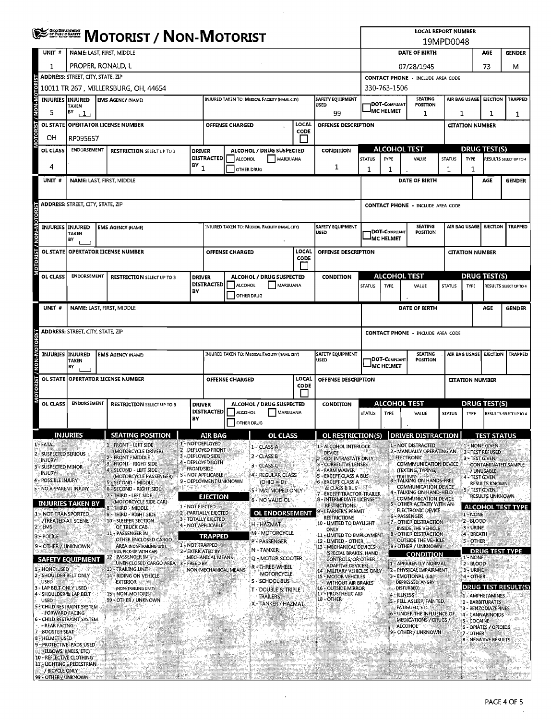| OHOO DEPARTMENT<br>OF PUBLIC BAFETY<br>MISTELLIANSE NOVINSIA  |                                          |  | <b>MOTORIST / NON-MOTORIST</b>                              |                   |                                                  |                        |                                                 |              |                                                           |               |                             | <b>LOCAL REPORT NUMBER</b>                                 |               |                        |                                           |                            |
|---------------------------------------------------------------|------------------------------------------|--|-------------------------------------------------------------|-------------------|--------------------------------------------------|------------------------|-------------------------------------------------|--------------|-----------------------------------------------------------|---------------|-----------------------------|------------------------------------------------------------|---------------|------------------------|-------------------------------------------|----------------------------|
| UNIT #                                                        | NAME: LAST, FIRST, MIDDLE                |  |                                                             |                   |                                                  |                        |                                                 |              |                                                           |               |                             | <b>DATE OF BIRTH</b>                                       | 19MPD0048     |                        | AGE                                       | <b>GENDER</b>              |
|                                                               |                                          |  |                                                             |                   |                                                  |                        |                                                 |              |                                                           |               |                             |                                                            |               |                        |                                           |                            |
| 1                                                             | PROPER, RONALD, L                        |  |                                                             |                   |                                                  |                        |                                                 |              |                                                           |               |                             | 07/28/1945                                                 |               |                        | 73                                        | м                          |
|                                                               | ADDRESS: STREET, CITY, STATE, ZIP        |  |                                                             |                   |                                                  |                        |                                                 |              |                                                           |               |                             | <b>CONTACT PHONE - INCLUDE AREA CODE</b>                   |               |                        |                                           |                            |
| ğ                                                             |                                          |  | 10011 TR 267 , MILLERSBURG, OH, 44654                       |                   |                                                  |                        |                                                 |              |                                                           |               | 330-763-1506                |                                                            |               |                        |                                           |                            |
| <b>M-NON</b><br><b>INJURIES INJURED</b><br>5                  | TAKEN<br>BY<br>111                       |  | <b>EMS AGENCY (NAME)</b>                                    |                   |                                                  |                        | INJURED TAKEN TO: MEDICAL FACILITY (NAME, CITY) |              | <b>SAFETY EQUIPMENT</b><br><b>USED</b><br>99              |               | DOT-Compliant<br>IMC HELMET | SEATING<br><b>POSITION</b><br>1                            |               | AIR BAG USAGE<br>1     | <b>EJECTION</b><br>1                      | <b>TRAPPED</b><br>1        |
| <b>RIST</b>                                                   |                                          |  | OL STATE OPERTATOR LICENSE NUMBER                           |                   |                                                  | <b>OFFENSE CHARGED</b> |                                                 | LOCAL        | <b>OFFENSE DESCRIPTION</b>                                |               |                             |                                                            |               | <b>CITATION NUMBER</b> |                                           |                            |
| g<br>он                                                       | RP095657                                 |  |                                                             |                   |                                                  |                        |                                                 | <b>CODE</b>  |                                                           |               |                             |                                                            |               |                        |                                           |                            |
| OL CLASS                                                      | <b>ENDORSEMENT</b>                       |  |                                                             | <b>DRIVER</b>     |                                                  |                        | ALCOHOL / DRUG SUSPECTED                        |              | <b>CONDITION</b>                                          |               | <b>ALCOHOL TEST</b>         |                                                            |               |                        | <b>DRUG TEST(S)</b>                       |                            |
|                                                               |                                          |  | <b>RESTRICTION SELECT UP TO 3</b>                           |                   | <b>DISTRACTED</b>                                | <b>ALCOHOL</b>         | MARUUANA                                        |              |                                                           | <b>STATUS</b> | <b>TYPE</b>                 | VALUE                                                      | <b>STATUS</b> | <b>TYPE</b>            |                                           | RESULTS SELECT UP TO 4     |
| 4                                                             |                                          |  |                                                             | $(8Y_1)$          |                                                  | OTHER DRUG             |                                                 |              | 1                                                         | 1             | 1                           |                                                            | 1             | 1                      |                                           |                            |
| $UNIT$ #                                                      |                                          |  | NAME: LAST, FIRST, MIDDLE                                   |                   |                                                  |                        |                                                 |              |                                                           |               |                             | <b>DATE OF BIRTH</b>                                       |               |                        | AGE                                       | <b>GENDER</b>              |
|                                                               |                                          |  |                                                             |                   |                                                  |                        |                                                 |              |                                                           |               |                             |                                                            |               |                        |                                           |                            |
|                                                               |                                          |  |                                                             |                   |                                                  |                        |                                                 |              |                                                           |               |                             |                                                            |               |                        |                                           |                            |
| 5                                                             | <b>ADDRESS: STREET, CITY, STATE, ZIP</b> |  |                                                             |                   |                                                  |                        |                                                 |              |                                                           |               |                             | <b>CONTACT PHONE - INCLUDE AREA CODE</b>                   |               |                        |                                           |                            |
|                                                               |                                          |  |                                                             |                   |                                                  |                        |                                                 |              |                                                           |               |                             |                                                            |               |                        |                                           |                            |
| <b>INJURIES</b>                                               | <b>INJURED</b><br><b>TAKEN</b>           |  | <b>EMS AGENCY (NAME)</b>                                    |                   |                                                  |                        | INJURED TAKEN TO: MEDICAL FACILITY (NAME, CITY) |              | SAFETY EQUIPMENT<br><b>USED</b>                           |               | DOT-COMPLIANT               | SEATING<br>POSITION                                        |               | AIR BAG USAGE          | <b>EJECTION</b>                           | <b>TRAPPED</b>             |
|                                                               | BY                                       |  |                                                             |                   |                                                  |                        |                                                 |              |                                                           |               | IMC HELMET                  |                                                            |               |                        |                                           |                            |
|                                                               |                                          |  | OL STATE OPPERTATOR LICENSE NUMBER                          |                   |                                                  | <b>OFFENSE CHARGED</b> |                                                 | LOCAL        | OFFENSE DESCRIPTION                                       |               |                             |                                                            |               | <b>CITATION NUMBER</b> |                                           |                            |
| <b>ON-MON / T2IROLO</b>                                       |                                          |  |                                                             |                   |                                                  |                        |                                                 | CODE         |                                                           |               |                             |                                                            |               |                        |                                           |                            |
|                                                               | <b>ENDORSEMENT</b>                       |  |                                                             |                   |                                                  |                        |                                                 |              |                                                           |               | <b>ALCOHOL TEST</b>         |                                                            |               |                        | DRUG TEST(S)                              |                            |
| OL CLASS                                                      |                                          |  | <b>RESTRICTION SELECT UP TO 3</b>                           | <b>DRIVER</b>     | <b>DISTRACTED</b>                                | <b>ALCOHOL</b>         | ALCOHOL / DRUG SUSPECTED<br>MARIJUANA           |              | <b>CONDITION</b>                                          | <b>STATUS</b> | <b>TYPE</b>                 | VALUE                                                      | <b>STATUS</b> | <b>TYPE</b>            |                                           | RESULTS SELECT UP TO 4     |
|                                                               |                                          |  |                                                             | BY                |                                                  | <b>OTHER DRUG</b>      |                                                 |              |                                                           |               |                             |                                                            |               |                        |                                           |                            |
| UNIT#                                                         |                                          |  | NAME: LAST, FIRST, MIDDLE                                   |                   |                                                  |                        |                                                 |              |                                                           |               |                             |                                                            |               |                        |                                           |                            |
|                                                               |                                          |  |                                                             |                   |                                                  |                        |                                                 |              |                                                           |               |                             | DATE OF BIRTH                                              |               |                        | AGE                                       | <b>GENDER</b>              |
|                                                               |                                          |  |                                                             |                   |                                                  |                        |                                                 |              |                                                           |               |                             |                                                            |               |                        |                                           |                            |
|                                                               | ADDRESS: STREET, CITY, STATE, ZIP        |  |                                                             |                   |                                                  |                        |                                                 |              |                                                           |               |                             | <b>CONTACT PHONE - INCLUDE AREA CODE</b>                   |               |                        |                                           |                            |
|                                                               |                                          |  |                                                             |                   |                                                  |                        |                                                 |              |                                                           |               |                             |                                                            |               |                        |                                           |                            |
| <b>INJURIES INJURED</b>                                       |                                          |  | <b>EMS AGENCY (NAME)</b>                                    |                   |                                                  |                        | INJURED TAKEN TO: MEDICAL FACILITY (NAME CITY)  |              | <b>SAFETY EQUIPMENT</b><br><b>USED</b>                    |               | 1DOT-Compuant               | <b>SEATING</b><br>POSITION                                 |               |                        | AIR BAG USAGE EIECTION                    | <b>TRAPPED</b>             |
|                                                               | <b>TAKEN</b><br>BY                       |  |                                                             |                   |                                                  |                        |                                                 |              |                                                           |               | IMC HELMET                  |                                                            |               |                        |                                           |                            |
| TORIST / NON-MOTOR<br><b>OL STATE</b>                         |                                          |  | OPERTATOR LICENSE NUMBER                                    |                   |                                                  | <b>OFFENSE CHARGED</b> |                                                 | <b>LOCA!</b> | OFFENSE DESCRIPTION                                       |               |                             |                                                            |               | <b>CITATION NUMBER</b> |                                           |                            |
|                                                               |                                          |  |                                                             |                   |                                                  |                        |                                                 | CODE         |                                                           |               |                             |                                                            |               |                        |                                           |                            |
|                                                               | <b>ENDORSEMENT</b>                       |  |                                                             |                   |                                                  |                        |                                                 |              |                                                           |               |                             |                                                            |               |                        |                                           |                            |
| <b>OL CLASS</b>                                               |                                          |  | <b>RESTRICTION SELECT UP TO 3</b>                           | <b>DRIVER</b>     | <b>DISTRACTED</b>                                | <b>ALCOHOL</b>         | ALCOHOL / DRUG SUSPECTED<br>MARUUANA            |              | <b>CONDITION</b>                                          | <b>STATUS</b> | ALCOHOL TEST<br><b>TYPE</b> | VALUE                                                      | <b>STATUS</b> | <b>TYPE</b>            | DRUG TEST(S)                              | RESULTS SELECT UP TO 4     |
|                                                               |                                          |  |                                                             | BY                |                                                  | <b>OTHER DRUG</b>      |                                                 |              |                                                           |               |                             |                                                            |               |                        |                                           |                            |
|                                                               |                                          |  |                                                             |                   |                                                  |                        |                                                 |              |                                                           |               |                             |                                                            |               |                        |                                           |                            |
| 1-FATAL                                                       | <b>INJURIES</b>                          |  | <b>SEATING POSITION</b>                                     |                   | AIR BAG<br>1 - NOT DEPLOYED                      |                        | <b>OL CLASS</b>                                 |              | OL RESTRICTION(S)                                         |               |                             | <b>DRIVER DISTRACTION</b>                                  |               |                        | <b>TEST STATUS</b>                        |                            |
| 2 - SUSPECTED SERIOUS                                         |                                          |  | 1 - FRONT - LEFT SIDE<br>(MOTORCYCLE DRIVER).               |                   | 2 - DEPLOYED FRONT                               |                        | 1 - CLASS A                                     |              | 1 - ALCOHOL INTERLOCK<br><b>DEVICE</b>                    |               |                             | 1 - NOT DISTRACTED<br>2 - MANUALLY OPERATING AN            |               |                        | 1 - NONE GIVEN<br>2-TEST REFUSED          |                            |
| INJURY                                                        |                                          |  | 2 FRONT MIDDLE<br>3 - FRONT - RIGHT SIDE                    |                   | 3 - Deployed Side<br>4 - DEPLOYED BOTH           |                        | 2 - CLASS B<br>3 - CLASS C                      |              | COLINTRASTATE ONLY<br>3 - CORRECTIVE LENSES               |               |                             | <b>ELECTRONIC</b><br>COMMMUNICATION DEVICE                 |               |                        | 3 - TEST GIVEN,                           | CONTAMINATED SAMPLE        |
| 3 - SUSPECTED MINOR<br>. INJURY                               |                                          |  | 4 - SECOND - LEFT SIDE<br>(MOTORCYCLE PASSENGER)            | <b>FRONT/SIDE</b> | S - NOT APPLICABLE                               |                        | 4 - REGULAR CLASS                               |              | 4 - FARM WAIVER<br><b>5 - EXCEPT CLASS A BUS:</b>         |               |                             | (TEXTING, TYPING,<br><b>FITALTNIEL</b>                     |               |                        | / UNUSABLE                                |                            |
| 4 - POSSIBLE INJURY                                           |                                          |  | <b>5 - SECOND - MIDDLE</b>                                  |                   | 9 - DEPLOYMENT UNKNOWN                           |                        | (OHIO = D)                                      |              | 6 - EXCEPT CLASS A                                        |               |                             | 3 - TALKING ON HANDS-FREE<br>COMMUNICATION DEVICE          |               |                        | 4 - TEST GIVEN,<br>RESULTS KNOWN          |                            |
| 5 - NO APPARENT INJURY                                        |                                          |  | 6 - SECOND - RIGHT SIDE<br>7 - THIRD - LEFT SIDE            |                   | <b>EJECTION</b>                                  |                        | 5 - M/C MOPED ONLY                              |              | & CLASS B BUS<br>7 - EXCEPT TRACTOR-TRAILER               |               |                             | 4 - TALKING ON HAND-HELD                                   |               |                        | S - TEST GIVEN,<br><b>RESULTS UNKNOWN</b> |                            |
| <b>INJURIES TAKEN BY</b>                                      |                                          |  | (MOTORCYCLE SIDE CAR)<br>8 - Third - Middle                 | 1 - NOT EJECTED   |                                                  |                        | 6 - NO VALID OL'                                |              | 8 - INTERMEDIATE LICENSE<br><b>RESTRICTIONS</b>           |               |                             | <b>COMMUNICATION DEVICE</b><br>5 - OTHER ACTIVITY WITH AN  |               |                        |                                           | <b>ALCOHOL TEST TYPE</b>   |
| 1 - NOT TRANSPORTED                                           |                                          |  | 9 - THIRD - RIGHT SIDE                                      |                   | 2 - PARTIALLY EJECTED                            |                        | <b>OL ENDORSEMENT</b>                           |              | - LEARNER'S PERMIT<br><b>RESTRICTIONS</b>                 |               |                             | ELECTRONIC DEVICE<br>6 - PASSENGER                         |               | 1 - NONE               |                                           |                            |
| <b>/TREATED AT SCENE</b><br>- EMS                             |                                          |  | 10 - SLEEPER SECTION<br>OF TRUCK CAB.                       |                   | <b>3 - TOTALLY EJECTED</b><br>4 - NOT APPLICABLE |                        | H - HAZMAT.                                     |              | <b>10 - LIMITED TO DAYLIGHT</b>                           |               |                             | 7 - OTHER DISTRACTION<br>INSIDE THE VEHICLE                |               | 2-BLOOD<br>3 - URINE   |                                           |                            |
| 3 - POLICE                                                    |                                          |  | 11 - PASSENGER IN                                           |                   | <b>TRAPPED</b>                                   |                        | M - MOTORCYCLE                                  |              | ONLY<br>11 - LIMITED TO EMPLOYMENT                        |               |                             | 8 - OTHER DISTRACTION                                      |               | 4 - BREATH             |                                           |                            |
| 9 - OTHER / UNKNOWN                                           |                                          |  | OTHER ENCLOSED CARGO<br>AREA (NON-TRAILING UNIT,            | 1 NOT TRAPPED     |                                                  |                        | P - PASSENGER                                   |              | <b>12 - LIMITED - OTHER</b><br>13 - MECHANICAL DEVICES    |               |                             | OUTSIDE THE VEHICLE<br>9 - OTHER / UNKNOWN                 |               | 5 - OTHER              |                                           |                            |
| <b>SAFETY EQUIPMENT</b>                                       |                                          |  | BUS, PICK-UP WITH CAP)<br>- PASSENGER IN 1<br>12            | 2 - EXTRICATED BY | MECHANICAL MEANS                                 |                        | N - TANKER<br>Q.- MOTOR SCOOTER                 |              | (SPECIAL BRAKES, HAND<br>CONTROLS, OR OTHER               |               |                             | <u>CONDITION</u>                                           |               | 1 <sup>2</sup> NONE    | <b>DRUG TEST TYPE</b>                     |                            |
| 1-NONE USED                                                   |                                          |  | UNENCLOSED CARGO AREA : 3 - FREED BY.<br>13 - TRAILING UNIT |                   |                                                  | NON-MECHANICAL MEANS   | R-THREE-WHEEL                                   |              | <b>ADAPTIVE DEVICES)</b>                                  |               |                             | 1 - APPARENTLY NORMAL<br>2 - PHYSICAL IMPAIRMENT           |               | 2 - BLOOD<br>3 - URINE |                                           |                            |
| - SHOULDER BELT ONLY<br>2.                                    |                                          |  | 14 - RIDING ON VEHICLE                                      |                   |                                                  |                        | MOTORCYCLE<br>S-SCHOOL BUS                      |              | 14 - MILITARY VEHICLES ONLY<br><b>15 - MOTOR VEHCILES</b> |               |                             | 3 - EMOTIONAL (E.G.)                                       |               | 4 - OTHER              |                                           |                            |
| <b>USED</b><br>- LAP BELT ONLY USED                           |                                          |  | <b>EXTERIOR</b><br>(NON-TRAILING UNIT)                      |                   |                                                  |                        | <b>T - DOUBLE &amp; TRIPLE</b>                  |              | WITHOUT AIR BRAKES<br><b>16 - OUTSIDE MIRROR</b>          |               |                             | DEPRESSED, ANGRY,<br>DISTURBED)                            |               |                        |                                           | <b>DRUG TEST RESULT(S)</b> |
| 4 - SHOULDER & LAP BELT<br><b>USED</b>                        |                                          |  | 15 - NON-MOTORIST<br>99 - OTHER / UNKNOWN                   |                   |                                                  |                        | TRAILERS                                        |              | 17 - PROSTHETIC AID<br>18 - OTHER                         |               | 4 - ILLNESS                 | 5 - FELL ASLEEP, FAINTED,                                  |               |                        | 1 - AMPHETAMINES<br>2 - BARBITURATES      |                            |
| 5 - CHILD RESTRAINT SYSTEM                                    |                                          |  |                                                             |                   |                                                  |                        | X - TANKER / HAZMAT                             |              |                                                           |               |                             | <b>FATIGUED, ETC.</b>                                      |               |                        | 3 - BENZODIAZEPINES                       |                            |
| - FORWARD FACING<br>6 - CHILD RESTRAINT SYSTEM                |                                          |  |                                                             |                   |                                                  |                        |                                                 |              |                                                           |               |                             | 6 - UNDER THE INFLUENCE OF<br><b>MEDICATIONS / DRUGS /</b> |               | 5 COCAINE              | 4 - CANNABINOIDS                          |                            |
| - REAR FACING:<br>7 - BOOSTER SEAT                            |                                          |  |                                                             |                   |                                                  |                        |                                                 |              |                                                           |               |                             | <b>ALCOHOL</b><br>9 - OTHER / UNKNOWN                      |               | 7-OTHER                | 6 - OPIATES / OPIOIDS                     |                            |
| 8 - HELMET USED                                               |                                          |  |                                                             |                   |                                                  |                        |                                                 |              |                                                           |               |                             |                                                            |               |                        | <b>8 - NEGATIVE RESULTS</b>               |                            |
| 9 - PROTECTIVE PADS USED                                      | (ELBOWS, KNEES, ETC)                     |  |                                                             |                   |                                                  |                        |                                                 |              |                                                           |               |                             |                                                            |               |                        |                                           |                            |
| <b>10 - REFLECTIVE CLOTHING</b><br>11 - LIGHTING - PEDESTRIAN |                                          |  |                                                             |                   |                                                  |                        |                                                 |              |                                                           |               |                             | kadamin's Frith                                            |               | TE 1437.               |                                           |                            |
| / BICYCLE ONLY                                                |                                          |  |                                                             |                   |                                                  |                        |                                                 |              |                                                           |               |                             | <u>UMA ANG KABUPATÈN SA</u>                                |               |                        |                                           |                            |
| <b>99 - OTHER / UNKNOWN STREET</b>                            |                                          |  |                                                             |                   |                                                  |                        |                                                 |              |                                                           |               |                             |                                                            |               |                        |                                           |                            |

 $\sim$ 

 $\sim 10$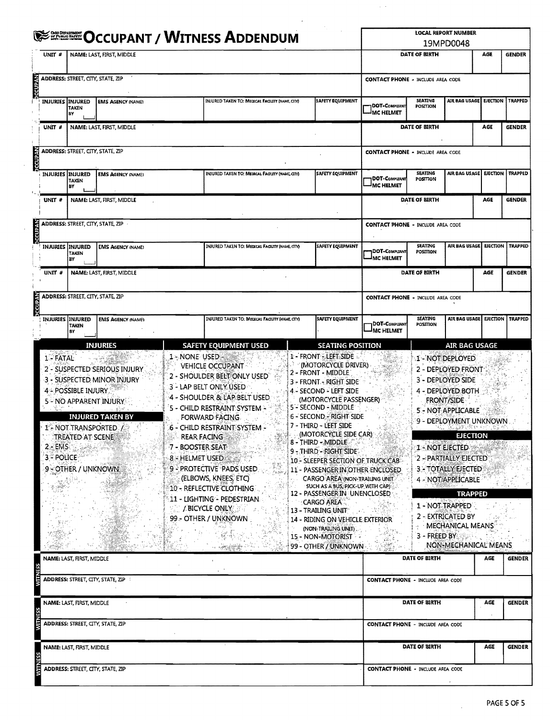|                                           |                                            |                                                                                                                                                                                                    |                  | <b>ELECTION AND ASSESS APPEARING</b>                                                                                                                                                                                                                                                                                                                                                                                                              |                                                                                                                                                                                                                                                                                                                                                                                                                                                                                                                                                                                              |                                          |                            | <b>LOCAL REPORT NUMBER</b><br>19MPD0048                                                                                                                                                                                                                                                                                                                                                             |                           |               |
|-------------------------------------------|--------------------------------------------|----------------------------------------------------------------------------------------------------------------------------------------------------------------------------------------------------|------------------|---------------------------------------------------------------------------------------------------------------------------------------------------------------------------------------------------------------------------------------------------------------------------------------------------------------------------------------------------------------------------------------------------------------------------------------------------|----------------------------------------------------------------------------------------------------------------------------------------------------------------------------------------------------------------------------------------------------------------------------------------------------------------------------------------------------------------------------------------------------------------------------------------------------------------------------------------------------------------------------------------------------------------------------------------------|------------------------------------------|----------------------------|-----------------------------------------------------------------------------------------------------------------------------------------------------------------------------------------------------------------------------------------------------------------------------------------------------------------------------------------------------------------------------------------------------|---------------------------|---------------|
| UNIT <sup>#</sup>                         |                                            | NAME: LAST, FIRST, MIDDLE                                                                                                                                                                          |                  |                                                                                                                                                                                                                                                                                                                                                                                                                                                   |                                                                                                                                                                                                                                                                                                                                                                                                                                                                                                                                                                                              |                                          | DATE OF BIRTH              |                                                                                                                                                                                                                                                                                                                                                                                                     | AGE                       | <b>GENDER</b> |
|                                           | <b>ADDRESS: STREET, CITY, STATE, ZIP</b>   |                                                                                                                                                                                                    |                  |                                                                                                                                                                                                                                                                                                                                                                                                                                                   |                                                                                                                                                                                                                                                                                                                                                                                                                                                                                                                                                                                              | <b>CONTACT PHONE - INCLUDE AREA CODE</b> |                            |                                                                                                                                                                                                                                                                                                                                                                                                     |                           |               |
|                                           | <b>INJURIES INJURED</b><br>TAKEN<br>В٧     | <b>EMS AGENCY (NAME)</b>                                                                                                                                                                           |                  | INJURED TAKEN TO: MEDICAL FACUTY (NAME, CITY)                                                                                                                                                                                                                                                                                                                                                                                                     | <b>SAFETY EQUIPMENT</b>                                                                                                                                                                                                                                                                                                                                                                                                                                                                                                                                                                      | DOT-COMPUANT<br>MC HELMET                | <b>SEATING</b><br>POSITION | AIR BAG USAGE                                                                                                                                                                                                                                                                                                                                                                                       | EJECTION   TRAPPED        |               |
| UNIT #                                    |                                            | NAME: LAST, FIRST, MIDDLE                                                                                                                                                                          |                  |                                                                                                                                                                                                                                                                                                                                                                                                                                                   |                                                                                                                                                                                                                                                                                                                                                                                                                                                                                                                                                                                              |                                          | DATE OF BIRTH              |                                                                                                                                                                                                                                                                                                                                                                                                     | AGE                       | <b>GENDER</b> |
|                                           | ADDRESS: STREET, CITY, STATE, ZIP          |                                                                                                                                                                                                    |                  |                                                                                                                                                                                                                                                                                                                                                                                                                                                   |                                                                                                                                                                                                                                                                                                                                                                                                                                                                                                                                                                                              | <b>CONTACT PHONE - INCLUDE AREA CODE</b> |                            |                                                                                                                                                                                                                                                                                                                                                                                                     |                           |               |
|                                           | INJURIES INJURED<br><b>TAKEN</b><br>BY     | <b>EMS AGENCY (NAME)</b>                                                                                                                                                                           |                  | INJURED TAKEN TO: MEDICAL FACUTY (NAME, CITY)                                                                                                                                                                                                                                                                                                                                                                                                     | <b>SAFETY EQUIPMENT</b>                                                                                                                                                                                                                                                                                                                                                                                                                                                                                                                                                                      | DOT-COMPLIANT<br><sup>I</sup> MC HELMET  | <b>SEATING</b><br>POSITION | AIR BAG USAGE   EJECTION   TRAPPED                                                                                                                                                                                                                                                                                                                                                                  |                           |               |
| UNIT <sup>#</sup>                         |                                            | NAME: LAST, FIRST, MIDDLE                                                                                                                                                                          |                  |                                                                                                                                                                                                                                                                                                                                                                                                                                                   |                                                                                                                                                                                                                                                                                                                                                                                                                                                                                                                                                                                              |                                          | DATE OF BIRTH              |                                                                                                                                                                                                                                                                                                                                                                                                     | <b>AGE</b>                | <b>GENDER</b> |
|                                           | ADDRESS: STREET, CITY, STATE, ZIP          |                                                                                                                                                                                                    |                  |                                                                                                                                                                                                                                                                                                                                                                                                                                                   |                                                                                                                                                                                                                                                                                                                                                                                                                                                                                                                                                                                              | <b>CONTACT PHONE - INCLUDE AREA CODE</b> |                            |                                                                                                                                                                                                                                                                                                                                                                                                     |                           |               |
| <b>INJURIES</b>                           | INJURED<br>TAKEN<br>BΥ                     | <b>EMS AGENCY (NAME)</b>                                                                                                                                                                           |                  | INJURED TAKEN TO: MEDICAL FACILITY (NAME, CITY)                                                                                                                                                                                                                                                                                                                                                                                                   | SAFETY EQUIPMENT                                                                                                                                                                                                                                                                                                                                                                                                                                                                                                                                                                             | DOT-COMPUANT<br>MC HELMET                | SEATING<br>POSITION        | AIR BAG USAGE                                                                                                                                                                                                                                                                                                                                                                                       | <b>EJECTION   TRAPPED</b> |               |
| $UNIT$ #                                  |                                            | NAME: LAST, FIRST, MIDDLE                                                                                                                                                                          |                  |                                                                                                                                                                                                                                                                                                                                                                                                                                                   |                                                                                                                                                                                                                                                                                                                                                                                                                                                                                                                                                                                              |                                          | <b>DATE OF BIRTH</b>       |                                                                                                                                                                                                                                                                                                                                                                                                     | AGE<br><b>GENDER</b>      |               |
|                                           | ADDRESS: STREET, CITY, STATE, ZIP          |                                                                                                                                                                                                    |                  |                                                                                                                                                                                                                                                                                                                                                                                                                                                   |                                                                                                                                                                                                                                                                                                                                                                                                                                                                                                                                                                                              | <b>CONTACT PHONE - INCLUDE AREA CODE</b> |                            |                                                                                                                                                                                                                                                                                                                                                                                                     |                           |               |
|                                           | INJURIES INJURED<br><b>TAKEN</b><br>BΥ     | <b>EMS AGENCY (NAME)</b>                                                                                                                                                                           |                  | INJURED TAKEN TO: MEDICAL FACILITY (NAME, CITY)                                                                                                                                                                                                                                                                                                                                                                                                   | <b>SAFETY EQUIPMENT</b>                                                                                                                                                                                                                                                                                                                                                                                                                                                                                                                                                                      | DOT-COMPLIANT<br><b>IMC HELMET</b>       | SEATING<br>POSITION        | AIR BAG USAGE                                                                                                                                                                                                                                                                                                                                                                                       | <b>EJECTION   TRAPPED</b> |               |
| -91<br>$2 - EMS$<br>3 <sup>2</sup> POLICE | 44 POSSIBLE INJURY.<br>9 - OTHER / UNKNOWN | 2 - SUSPECTED SERIOUS INJURY<br>3 - SUSPECTED MINOR INJURY<br><b>5 - NO APPARENT INJURY</b><br><b>INJURED TAKEN BY</b><br>1 <sup>6</sup> NOT TRANSPORTED /<br><b>TREATED AT SCENE AND</b><br>法法的法罪 | 7 - BOOSTER SEAT | <b>VEHICLE OCCUPANT</b><br>2 - SHOULDER BELT ONLY USED<br>3 - LAP BELT ONLY USED<br>4 - SHOULDER & LAP BELT USED<br>5 - CHILD RESTRAINT SYSTEM -<br>FORWARD FACING.<br>.6 - CHILD RESTRAINT SYSTEM -<br><b>REAR FACING</b><br>8 - HELMET USED<br>9 - PROTECTIVE PADS USED.<br>(ELBOWS, KNEES, ETC)<br>$10$ - RÈFLÉCTIVE CLOTHING.<br>11 - LIGHTING - PEDESTRIAN<br><b>EXAMINATION AND ACCOUNT ACCOUNT ACCOUNT ACCOUNT</b><br>99 - OTHER / UNKNOWN | 2 - FRONT - MIDDLE<br>3 - FRONT - RIGHT SIDE<br>4 - SECOND - LEFT SIDE<br>(MOTORCYCLE PASSENGER)<br>5 - SECOND - MIDDLE<br>6 - SECOND - RIGHT SIDE<br>7 - THIRD - LEET SIDE<br>(MOTORCYCLE SIDE CAR)<br>8 - THIRD - MIDDLE<br>9 - THIRD - RIGHT SIDE.<br>10 - SLEEPER SECTION OF TRUCK CAB<br>11 - PASSENGER IN OTHER ENCLOSED<br>CARGO AREA (NON-TRAILING UNIT)<br>SUCH AS A BUS, PICK-UP WITH CAP)<br>12 - PASSENGERIN UNENCLOSED<br><b>CARGO AREA</b><br>13 - TRAILING UNITY AND A<br>14 - RIDING ON VEHICLE EXTERIOR<br>(NON-TRAILING UNIT)<br>15 - NON-MOTORIST<br>99 - OTHER / UNKNOWN |                                          | 1 - NOT EJECTED            | 2 - DEPLOYED FRONT<br>3 - DEPLOYED SIDE<br>4 - DEPLOYED BOTH<br><b>FRONT/SIDE</b><br><b>5 - NOT APPLICABLE</b><br>9 - DEPLOYMENT UNKNOWN<br><u>PANG MERRY PENGE</u><br><b>EJECTION</b><br>2 - PARTIALLY EJECTED<br>3 - TOTALLY EJECTED<br>4 - NOT APPLICABLE<br><b>TRAPPED</b><br>1 - NOT TRAPPED<br>2 - EXTRICATED BY<br>MECHANICAL MEANS<br>$3 - F$ REED BY $\sim$<br><b>NON-MECHANICAL MEANS</b> |                           |               |
|                                           | NAME: LAST, FIRST, MIDDLE                  |                                                                                                                                                                                                    |                  |                                                                                                                                                                                                                                                                                                                                                                                                                                                   |                                                                                                                                                                                                                                                                                                                                                                                                                                                                                                                                                                                              |                                          | DATE OF BIRTH              |                                                                                                                                                                                                                                                                                                                                                                                                     | AGE                       | <b>GENDER</b> |
|                                           |                                            | ADDRESS: STREET, CITY, STATE, ZIP                                                                                                                                                                  |                  |                                                                                                                                                                                                                                                                                                                                                                                                                                                   |                                                                                                                                                                                                                                                                                                                                                                                                                                                                                                                                                                                              | <b>CONTACT PHONE - INCLUDE AREA CODE</b> |                            |                                                                                                                                                                                                                                                                                                                                                                                                     |                           |               |
|                                           | NAME: LAST, FIRST, MIDDLE                  |                                                                                                                                                                                                    |                  |                                                                                                                                                                                                                                                                                                                                                                                                                                                   |                                                                                                                                                                                                                                                                                                                                                                                                                                                                                                                                                                                              |                                          | DATE OF BIRTH              |                                                                                                                                                                                                                                                                                                                                                                                                     | AGE                       | <b>GENDER</b> |
|                                           |                                            | ADDRESS: STREET, CITY, STATE, ZIP                                                                                                                                                                  |                  |                                                                                                                                                                                                                                                                                                                                                                                                                                                   |                                                                                                                                                                                                                                                                                                                                                                                                                                                                                                                                                                                              | <b>CONTACT PHONE - INCLUDE AREA CODE</b> |                            |                                                                                                                                                                                                                                                                                                                                                                                                     |                           |               |
|                                           |                                            |                                                                                                                                                                                                    |                  |                                                                                                                                                                                                                                                                                                                                                                                                                                                   |                                                                                                                                                                                                                                                                                                                                                                                                                                                                                                                                                                                              |                                          |                            |                                                                                                                                                                                                                                                                                                                                                                                                     |                           | <b>GENDER</b> |

 $\sim 10^6$ 

 $\mathcal{L}^{\mathcal{L}}$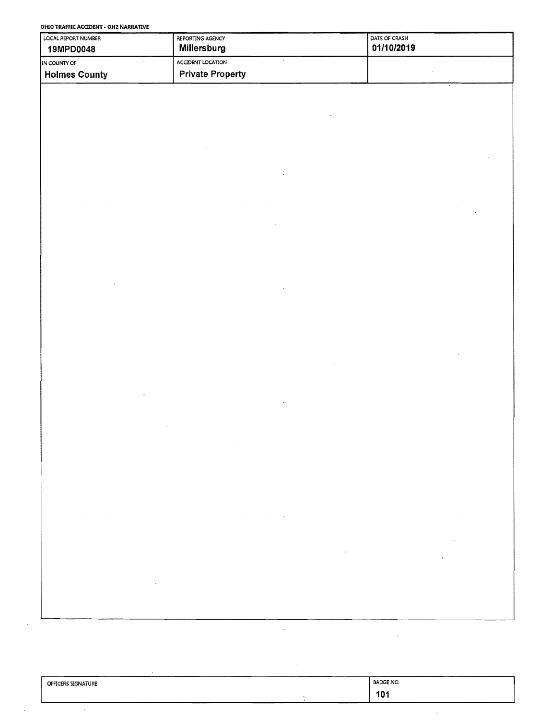**OHIO TRAFFIC ACaDENT· OH2 NARRATIVE** 

| LOCAL REPORT NUMBER<br><b>19MPD0048</b> | REPORTING AGENCY<br>Millersburg | <b>DATE OF CRASH</b><br>01/10/2019 |
|-----------------------------------------|---------------------------------|------------------------------------|
| IN COUNTY OF                            | ACCIDENT LOCATION               |                                    |
| <b>Holmes County</b>                    | <b>Private Property</b>         |                                    |

| <b>OFFICERS SIGNATURE</b> | <b>BADGE NO.</b>        |
|---------------------------|-------------------------|
|                           | $\overline{AB}$<br>ו טו |

t,